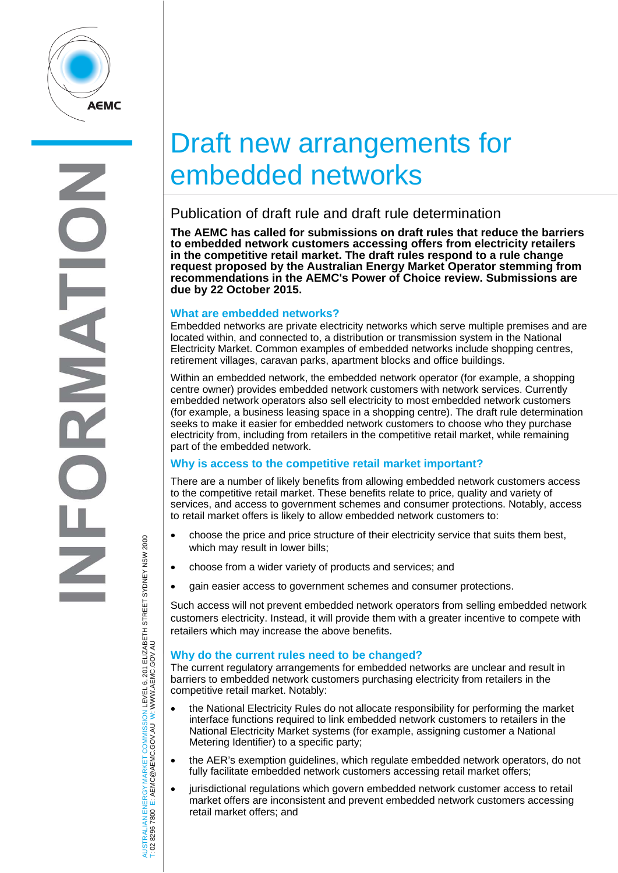

# Draft new arrangements for embedded networks

# Publication of draft rule and draft rule determination

**The AEMC has called for submissions on draft rules that reduce the barriers to embedded network customers accessing offers from electricity retailers in the competitive retail market. The draft rules respond to a rule change request proposed by the Australian Energy Market Operator stemming from recommendations in the AEMC's Power of Choice review. Submissions are due by 22 October 2015.** 

# **What are embedded networks?**

Embedded networks are private electricity networks which serve multiple premises and are located within, and connected to, a distribution or transmission system in the National Electricity Market. Common examples of embedded networks include shopping centres, retirement villages, caravan parks, apartment blocks and office buildings.

Within an embedded network, the embedded network operator (for example, a shopping centre owner) provides embedded network customers with network services. Currently embedded network operators also sell electricity to most embedded network customers (for example, a business leasing space in a shopping centre). The draft rule determination seeks to make it easier for embedded network customers to choose who they purchase electricity from, including from retailers in the competitive retail market, while remaining part of the embedded network.

# **Why is access to the competitive retail market important?**

There are a number of likely benefits from allowing embedded network customers access to the competitive retail market. These benefits relate to price, quality and variety of services, and access to government schemes and consumer protections. Notably, access to retail market offers is likely to allow embedded network customers to:

- choose the price and price structure of their electricity service that suits them best, which may result in lower bills;
- choose from a wider variety of products and services; and
- gain easier access to government schemes and consumer protections.

Such access will not prevent embedded network operators from selling embedded network customers electricity. Instead, it will provide them with a greater incentive to compete with retailers which may increase the above benefits.

# **Why do the current rules need to be changed?**

The current regulatory arrangements for embedded networks are unclear and result in barriers to embedded network customers purchasing electricity from retailers in the competitive retail market. Notably:

- the National Electricity Rules do not allocate responsibility for performing the market interface functions required to link embedded network customers to retailers in the National Electricity Market systems (for example, assigning customer a National Metering Identifier) to a specific party;
- the AER's exemption guidelines, which regulate embedded network operators, do not fully facilitate embedded network customers accessing retail market offers;
- jurisdictional regulations which govern embedded network customer access to retail market offers are inconsistent and prevent embedded network customers accessing retail market offers; and

AUSTRALIAN ENERGY MARKET COMMISSION LEVEL 6, 201 ELIZABETH STREET SYDNEY NSW 2000<br>Γ: 02 2296 7800 E: AEMC@AEMC.GOV.AU W: WWW.AEMC.GOV.AU AUSTRALIAN ENERGY MARKET COMMISSION LEVEL 6, 201 ELIZABETH STREET SYDNEY NSW 2000 W: WWW.AEMC.GOV.AU T: 02 8296 7800 E: AEMC@AEMC.GOV.AU